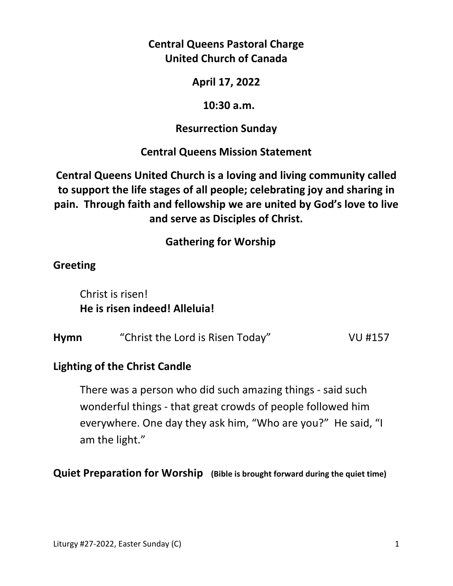**Central Queens Pastoral Charge United Church of Canada** 

**April 17, 2022** 

 **10:30 a.m.** 

**Resurrection Sunday** 

**Central Queens Mission Statement** 

**Central Queens United Church is a loving and living community called to support the life stages of all people; celebrating joy and sharing in pain. Through faith and fellowship we are united by God's love to live and serve as Disciples of Christ.**

 **Gathering for Worship** 

# **Greeting**

 Christ is risen!  **He is risen indeed! Alleluia!** 

| <b>Hymn</b> | "Christ the Lord is Risen Today" | VU #157 |
|-------------|----------------------------------|---------|
|             |                                  |         |

## **Lighting of the Christ Candle**

There was a person who did such amazing things - said such wonderful things - that great crowds of people followed him everywhere. One day they ask him, "Who are you?" He said, "I am the light."

**Quiet Preparation for Worship (Bible is brought forward during the quiet time)**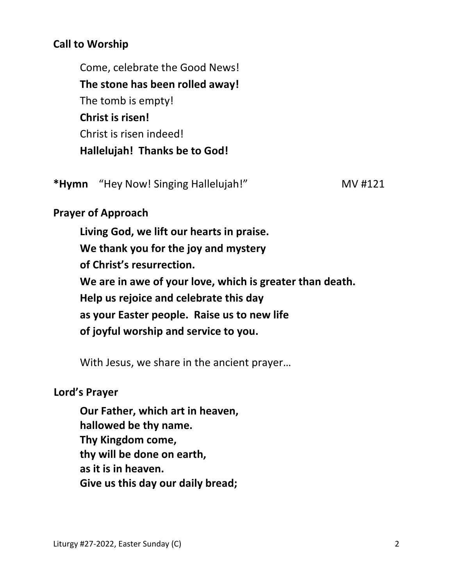### **Call to Worship**

 Come, celebrate the Good News!  **The stone has been rolled away!**  The tomb is empty!  **Christ is risen!**  Christ is risen indeed!  **Hallelujah! Thanks be to God!** 

**\*Hymn** "Hey Now! Singing Hallelujah!" MV #121

### **Prayer of Approach**

 **Living God, we lift our hearts in praise. We thank you for the joy and mystery of Christ's resurrection. We are in awe of your love, which is greater than death. Help us rejoice and celebrate this day as your Easter people. Raise us to new life of joyful worship and service to you.** 

With Jesus, we share in the ancient prayer…

#### **Lord's Prayer**

**Our Father, which art in heaven, hallowed be thy name. Thy Kingdom come, thy will be done on earth, as it is in heaven. Give us this day our daily bread;**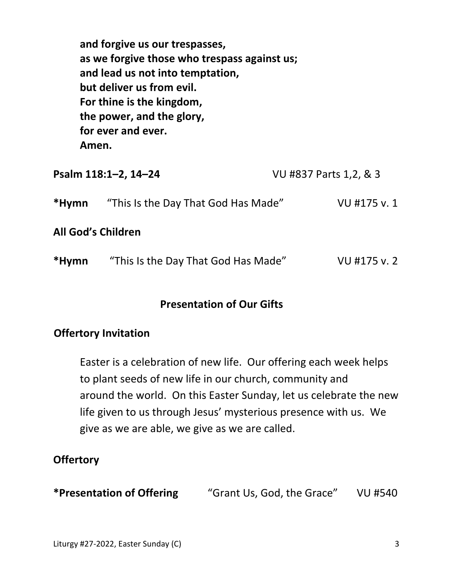**and forgive us our trespasses, as we forgive those who trespass against us; and lead us not into temptation, but deliver us from evil. For thine is the kingdom, the power, and the glory, for ever and ever. Amen.** 

|       | Psalm 118:1-2, 14-24                | VU #837 Parts 1,2, & 3 |  |
|-------|-------------------------------------|------------------------|--|
| *Hymn | "This Is the Day That God Has Made" | VU #175 v. 1           |  |
|       | <b>All God's Children</b>           |                        |  |
| *Hymn | "This Is the Day That God Has Made" | VU #175 v. 2           |  |

#### **Presentation of Our Gifts**

#### **Offertory Invitation**

 Easter is a celebration of new life. Our offering each week helps to plant seeds of new life in our church, community and around the world. On this Easter Sunday, let us celebrate the new life given to us through Jesus' mysterious presence with us. We give as we are able, we give as we are called.

## **Offertory**

**\*Presentation of Offering** "Grant Us, God, the Grace" VU #540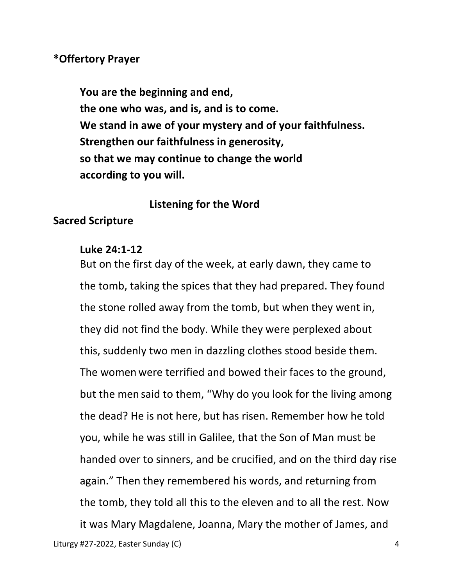#### **\*Offertory Prayer**

 **You are the beginning and end, the one who was, and is, and is to come. We stand in awe of your mystery and of your faithfulness. Strengthen our faithfulness in generosity, so that we may continue to change the world according to you will.**

#### **Listening for the Word**

#### **Sacred Scripture**

#### **Luke 24:1-12**

 But on the first day of the week, at early dawn, they came to the tomb, taking the spices that they had prepared. They found the stone rolled away from the tomb, but when they went in, they did not find the body. While they were perplexed about this, suddenly two men in dazzling clothes stood beside them. The women were terrified and bowed their faces to the ground, but the men said to them, "Why do you look for the living among the dead? He is not here, but has risen. Remember how he told you, while he was still in Galilee, that the Son of Man must be handed over to sinners, and be crucified, and on the third day rise again." Then they remembered his words, and returning from the tomb, they told all this to the eleven and to all the rest. Now it was Mary Magdalene, Joanna, Mary the mother of James, and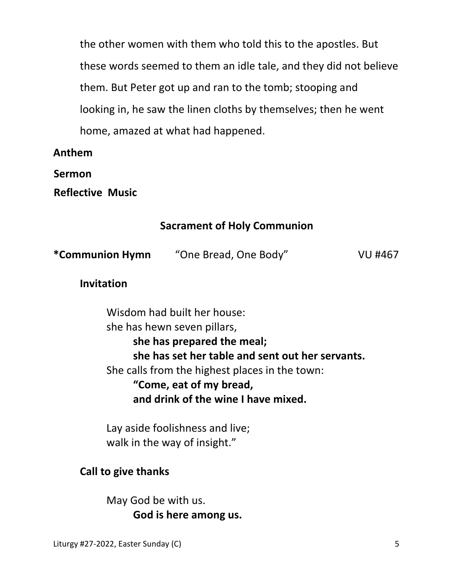the other women with them who told this to the apostles. But these words seemed to them an idle tale, and they did not believe them. But Peter got up and ran to the tomb; stooping and looking in, he saw the linen cloths by themselves; then he went home, amazed at what had happened.

**Anthem** 

**Sermon** 

**Reflective Music**

### **Sacrament of Holy Communion**

| *Communion Hymn | "One Bread, One Body" | VU #467 |
|-----------------|-----------------------|---------|
|-----------------|-----------------------|---------|

### **Invitation**

 Wisdom had built her house: she has hewn seven pillars, **she has prepared the meal; she has set her table and sent out her servants.**  She calls from the highest places in the town: **"Come, eat of my bread, and drink of the wine I have mixed.** 

 Lay aside foolishness and live; walk in the way of insight."

## **Call to give thanks**

 May God be with us. **God is here among us.**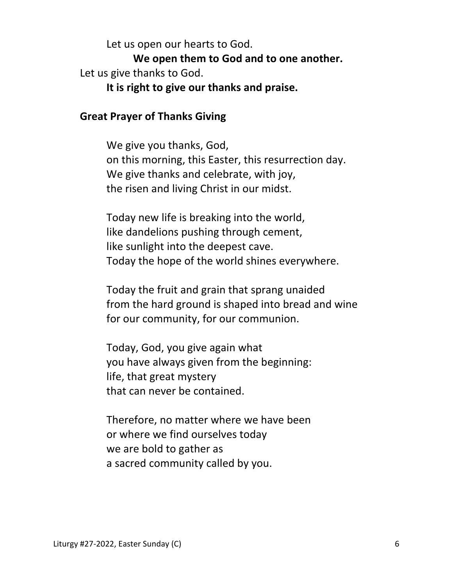Let us open our hearts to God.

 **We open them to God and to one another.**  Let us give thanks to God.

**It is right to give our thanks and praise.** 

#### **Great Prayer of Thanks Giving**

 We give you thanks, God, on this morning, this Easter, this resurrection day. We give thanks and celebrate, with joy, the risen and living Christ in our midst.

 Today new life is breaking into the world, like dandelions pushing through cement, like sunlight into the deepest cave. Today the hope of the world shines everywhere.

 Today the fruit and grain that sprang unaided from the hard ground is shaped into bread and wine for our community, for our communion.

 Today, God, you give again what you have always given from the beginning: life, that great mystery that can never be contained.

 Therefore, no matter where we have been or where we find ourselves today we are bold to gather as a sacred community called by you.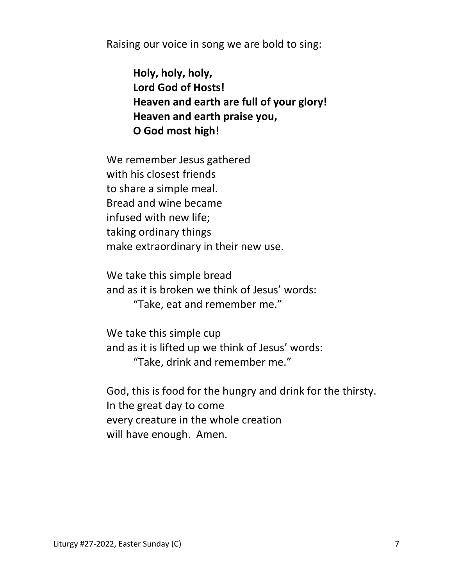Raising our voice in song we are bold to sing:

 **Holy, holy, holy, Lord God of Hosts! Heaven and earth are full of your glory! Heaven and earth praise you, O God most high!** 

 We remember Jesus gathered with his closest friends to share a simple meal. Bread and wine became infused with new life; taking ordinary things make extraordinary in their new use.

 We take this simple bread and as it is broken we think of Jesus' words: "Take, eat and remember me."

 We take this simple cup and as it is lifted up we think of Jesus' words: "Take, drink and remember me."

 God, this is food for the hungry and drink for the thirsty. In the great day to come every creature in the whole creation will have enough. Amen.